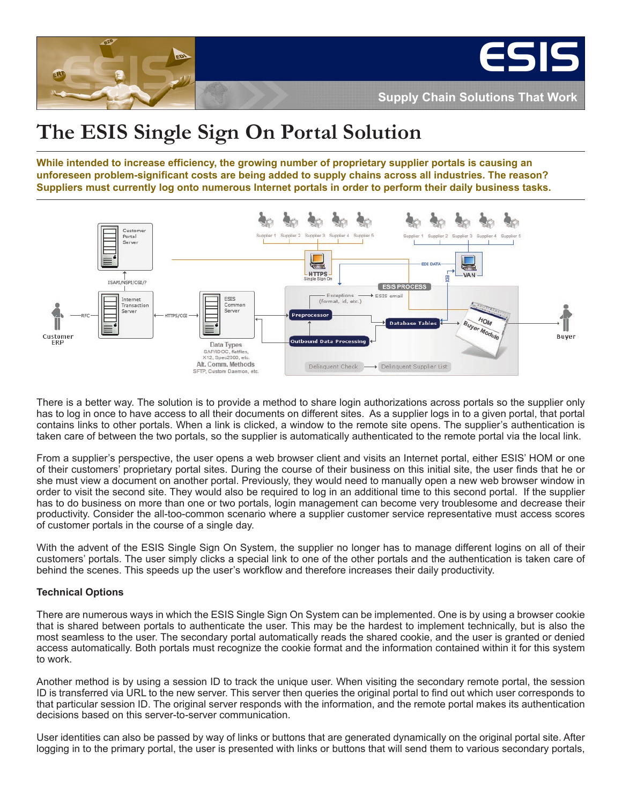

# **The ESIS Single Sign On Portal Solution**

**While intended to increase efficiency, the growing number of proprietary supplier portals is causing an unforeseen problem-significant costs are being added to supply chains across all industries. The reason? Suppliers must currently log onto numerous Internet portals in order to perform their daily business tasks.** 



There is a better way. The solution is to provide a method to share login authorizations across portals so the supplier only has to log in once to have access to all their documents on different sites. As a supplier logs in to a given portal, that portal contains links to other portals. When a link is clicked, a window to the remote site opens. The supplier's authentication is taken care of between the two portals, so the supplier is automatically authenticated to the remote portal via the local link.

From a supplier's perspective, the user opens a web browser client and visits an Internet portal, either ESIS' HOM or one of their customers' proprietary portal sites. During the course of their business on this initial site, the user finds that he or she must view a document on another portal. Previously, they would need to manually open a new web browser window in order to visit the second site. They would also be required to log in an additional time to this second portal. If the supplier has to do business on more than one or two portals, login management can become very troublesome and decrease their productivity. Consider the all-too-common scenario where a supplier customer service representative must access scores of customer portals in the course of a single day.

With the advent of the ESIS Single Sign On System, the supplier no longer has to manage different logins on all of their customers' portals. The user simply clicks a special link to one of the other portals and the authentication is taken care of behind the scenes. This speeds up the user's workflow and therefore increases their daily productivity.

## **Technical Options**

There are numerous ways in which the ESIS Single Sign On System can be implemented. One is by using a browser cookie that is shared between portals to authenticate the user. This may be the hardest to implement technically, but is also the most seamless to the user. The secondary portal automatically reads the shared cookie, and the user is granted or denied access automatically. Both portals must recognize the cookie format and the information contained within it for this system to work.

Another method is by using a session ID to track the unique user. When visiting the secondary remote portal, the session ID is transferred via URL to the new server. This server then queries the original portal to find out which user corresponds to that particular session ID. The original server responds with the information, and the remote portal makes its authentication decisions based on this server-to-server communication.

User identities can also be passed by way of links or buttons that are generated dynamically on the original portal site. After logging in to the primary portal, the user is presented with links or buttons that will send them to various secondary portals,